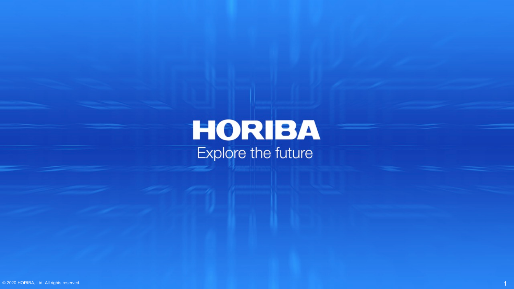**HORIBA**<br>Explore the future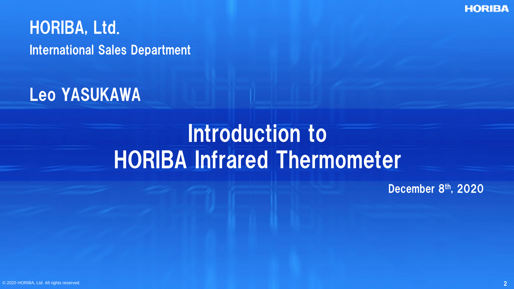**HORIBA** 

HORIBA, Ltd. International Sales Department

Leo YASUKAWA

### Introduction to HORIBA Infrared Thermometer

December 8th, 2020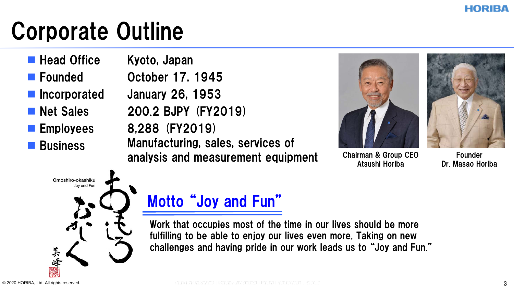## Corporate Outline

- **Head Office**
- **Founded**
- **Incorporated**
- **Net Sales**
- **Employees**
- **Business**

Kyoto, Japan October 17, 1945 January 26, 1953 200.2 BJPY (FY2019) 8,288 (FY2019) Manufacturing, sales, services of analysis and measurement equipment



Chairman & Group CEO Atsushi Horiba



Founder Dr. Masao Horiba



### Motto "Joy and Fun"

Work that occupies most of the time in our lives should be more fulfilling to be able to enjoy our lives even more. Taking on new challenges and having pride in our work leads us to "Joy and Fun."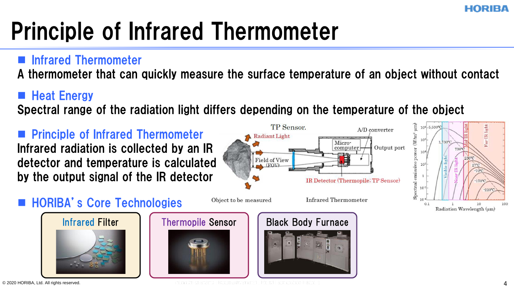# Principle of Infrared Thermometer

#### $\blacksquare$  Infrared Thermometer

A thermometer that can quickly measure the surface temperature of an object without contact

#### **Heat Energy**

Spectral range of the radiation light differs depending on the temperature of the object



© 2020 HORIBA, Ltd. All rights reserved. All the contract the contract of the contract of the contract of the contract of the contract of the contract of the contract of the contract of the contract of the contract of the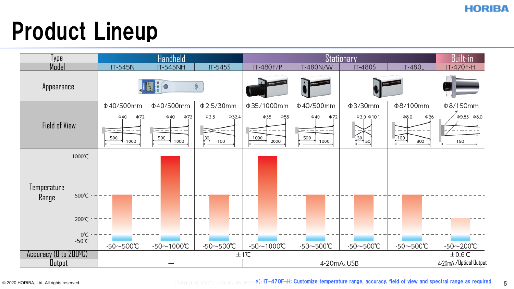### Product Lineup

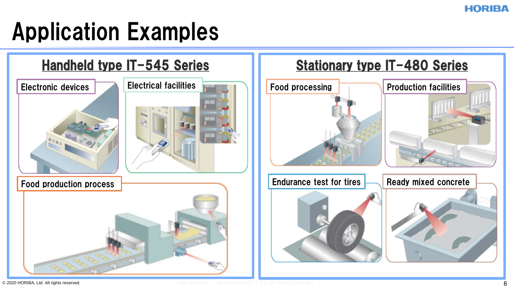## Application Examples